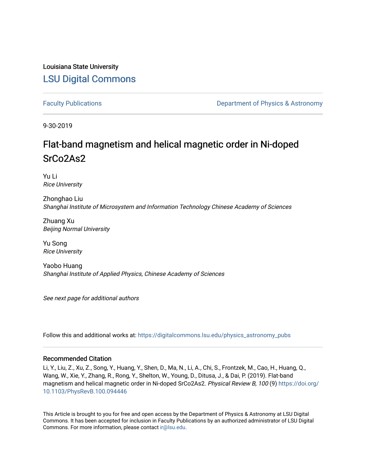## Louisiana State University [LSU Digital Commons](https://digitalcommons.lsu.edu/)

[Faculty Publications](https://digitalcommons.lsu.edu/physics_astronomy_pubs) **Example 2** Constant Department of Physics & Astronomy

9-30-2019

# Flat-band magnetism and helical magnetic order in Ni-doped SrCo2As2

Yu Li Rice University

Zhonghao Liu Shanghai Institute of Microsystem and Information Technology Chinese Academy of Sciences

Zhuang Xu Beijing Normal University

Yu Song Rice University

Yaobo Huang Shanghai Institute of Applied Physics, Chinese Academy of Sciences

See next page for additional authors

Follow this and additional works at: [https://digitalcommons.lsu.edu/physics\\_astronomy\\_pubs](https://digitalcommons.lsu.edu/physics_astronomy_pubs?utm_source=digitalcommons.lsu.edu%2Fphysics_astronomy_pubs%2F1470&utm_medium=PDF&utm_campaign=PDFCoverPages) 

#### Recommended Citation

Li, Y., Liu, Z., Xu, Z., Song, Y., Huang, Y., Shen, D., Ma, N., Li, A., Chi, S., Frontzek, M., Cao, H., Huang, Q., Wang, W., Xie, Y., Zhang, R., Rong, Y., Shelton, W., Young, D., Ditusa, J., & Dai, P. (2019). Flat-band magnetism and helical magnetic order in Ni-doped SrCo2As2. Physical Review B, 100 (9) [https://doi.org/](https://doi.org/10.1103/PhysRevB.100.094446) [10.1103/PhysRevB.100.094446](https://doi.org/10.1103/PhysRevB.100.094446)

This Article is brought to you for free and open access by the Department of Physics & Astronomy at LSU Digital Commons. It has been accepted for inclusion in Faculty Publications by an authorized administrator of LSU Digital Commons. For more information, please contact [ir@lsu.edu](mailto:ir@lsu.edu).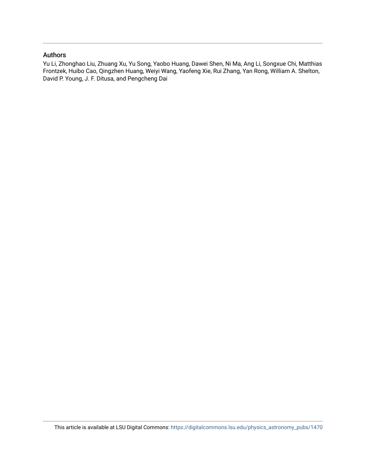### Authors

Yu Li, Zhonghao Liu, Zhuang Xu, Yu Song, Yaobo Huang, Dawei Shen, Ni Ma, Ang Li, Songxue Chi, Matthias Frontzek, Huibo Cao, Qingzhen Huang, Weiyi Wang, Yaofeng Xie, Rui Zhang, Yan Rong, William A. Shelton, David P. Young, J. F. Ditusa, and Pengcheng Dai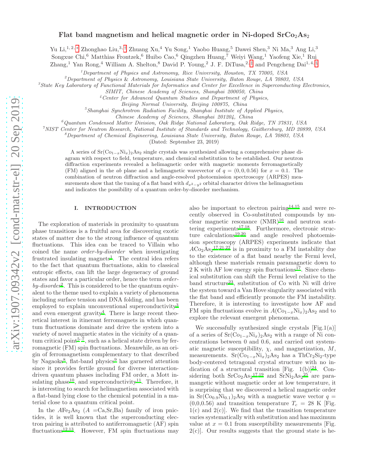#### Flat band magnetism and helical magnetic order in Ni-doped  $\rm SrCo_2As_2$

Yu Li,<sup>1, 2,</sup> [∗](#page-9-0) Zhonghao Liu,<sup>3,[†](#page-9-1)</sup> Zhuang Xu,<sup>4</sup> Yu Song,<sup>1</sup> Yaobo Huang,<sup>5</sup> Dawei Shen,<sup>3</sup> Ni Ma,<sup>3</sup> Ang Li,<sup>3</sup>

Songxue Chi,<sup>6</sup> Matthias Frontzek,<sup>6</sup> Huibo Cao,<sup>6</sup> Qingzhen Huang,<sup>7</sup> Weiyi Wang,<sup>1</sup> Yaofeng Xie,<sup>1</sup> Rui

Zhang,<sup>1</sup> Yan Rong,<sup>4</sup> William A. Shelton,<sup>8</sup> David P. Young,<sup>2</sup> J. F. DiTusa,<sup>2, [‡](#page-9-2)</sup> and Pengcheng Dai<sup>1,4, [§](#page-9-3)</sup>

 $1$  Department of Physics and Astronomy, Rice University, Houston, TX 77005, USA

 $^{2}$ Department of Physics & Astronomy, Louisiana State University, Baton Rouge, LA 70803, USA

<sup>3</sup>State Key Laboratory of Functional Materials for Informatics and Center for Excellence in Superconducting Electronics,

<sup>4</sup>Center for Advanced Quantum Studies and Department of Physics,

 $5$ Shanghai Synchrotron Radiation Facility, Shanghai Institute of Applied Physics,

Chinese Academy of Sciences, Shanghai 201204, China

 $6$ Quantum Condensed Matter Division, Oak Ridge National Laboratory, Oak Ridge, TN 37831, USA

<sup>7</sup>NIST Center for Neutron Research, National Institute of Standards and Technology, Gaithersburg, MD 20899, USA

 $8D$ epartment of Chemical Engineering, Louisiana State University, Baton Rouge, LA 70803, USA

(Dated: September 23, 2019)

A series of  $Sr(Co_{1-x}Ni_x)_{2}As_{2}$  single crystals was synthesized allowing a comprehensive phase diagram with respect to field, temperature, and chemical substitution to be established. Our neutron diffraction experiments revealed a helimagnetic order with magnetic moments ferromagnetically (FM) aligned in the ab plane and a helimagnetic wavevector of  $q = (0, 0, 0.56)$  for  $x = 0.1$ . The combination of neutron diffraction and angle-resolved photoemission spectroscopy (ARPES) measurements show that the tuning of a flat band with  $d_{x^2-y^2}$  orbital character drives the helimagnetism and indicates the possibility of a quantum order-by-disorder mechanism.

#### I. INTRODUCTION

The exploration of materials in proximity to quantum phase transitions is a fruitful area for discovering exotic states of matter due to the strong influence of quantum fluctuations. This idea can be traced to Villain who coined the name order-by-disorder when investigating fru[s](#page-9-4)trated insulating magnets<sup>1</sup>. The central idea refers to the fact that quantum fluctuations, akin to classical entropic effects, can lift the large degeneracy of ground states and favor a particular order, hence the term order- $by-disorder<sup>2</sup>$  $by-disorder<sup>2</sup>$  $by-disorder<sup>2</sup>$ . This is considered to be the quantum equivalent to the theme used to explain a variety of phenomena including surface tension and DNA folding, and has been employed to explain unconventional superconductivity<sup>[3](#page-9-6)</sup> and even emergent gravity<sup>[4](#page-9-7)</sup>. There is large recent theoretical interest in itinerant ferromagnets in which quantum fluctuations dominate and drive the system into a variety of novel magnetic states in the vicinity of a quantum critical point $5^{-7}$  $5^{-7}$ , such as a helical state driven by ferromagnetic (FM) spin fluctuations. Meanwhile, as an origin of ferromagnetism complementary to that described by Nagaoka<sup>[8](#page-10-1)</sup>, flat-band physics<sup>[9](#page-10-2)</sup> has garnered attention since it provides fertile ground for diverse interactiondriven quantum phases including FM order, a Mott in-sulating phase<sup>[10](#page-10-3)</sup>, and superconductivity<sup>[11](#page-10-4)</sup>. Therefore, it is interesting to search for helimagnetism associated with a flat-band lying close to the chemical potential in a material close to a quantum critical point.

In the  $A\text{Fe}_2\text{As}_2$  ( $A = \text{Ca,Sr,Ba}$ ) family of iron pnictides, it is well known that the superconducting electron pairing is attributed to antiferromagnetic (AF) spin fluctuations<sup>[12](#page-10-5)[,13](#page-10-6)</sup>. However, FM spin fluctuations may

also be important to electron pairing  $14,15$  $14,15$  and were recently observed in Co-substituted compounds by nuclear magnetic resonance  $(NMR)^{16}$  $(NMR)^{16}$  $(NMR)^{16}$  and neutron scat-tering experiments<sup>[17](#page-10-10)[,18](#page-10-11)</sup>. Furthermore, electronic structure calculations[19](#page-10-12)[,20](#page-10-13) and angle resolved photoemission spectroscopy (ARPES) experiments indicate that  $ACo<sub>2</sub>As<sub>2</sub><sup>17,21,22</sup>$  $ACo<sub>2</sub>As<sub>2</sub><sup>17,21,22</sup>$  $ACo<sub>2</sub>As<sub>2</sub><sup>17,21,22</sup>$  $ACo<sub>2</sub>As<sub>2</sub><sup>17,21,22</sup>$  $ACo<sub>2</sub>As<sub>2</sub><sup>17,21,22</sup>$  is in proximity to a FM instability due to the existence of a flat band nearby the Fermi level, although these materials remain paramagnetic down to  $2 K$  with AF low energy spin fluctuations<sup>[17](#page-10-10)</sup>. Since chemical substitution can shift the Fermi level relative to the band structure<sup>[23](#page-10-16)</sup>, substitution of Co with Ni will drive the system toward a Van Hove singularity associated with the flat band and efficiently promote the FM instability. Therefore, it is interesting to investigate how AF and FM spin fluctuations evolve in  $A(\text{Co}_{1-x}\text{Ni}_x)_2\text{As}_2$  and to explore the relevant emergent phenomena.

We successfully synthesized single crystals  $[Fig.1(a)]$ of a series of  $Sr(Co_{1-x}Ni_x)_2As_2$  with a range of Ni concentrations between 0 and 0.6, and carried out systematic magnetic susceptibility,  $\chi$ , and magnetization,  $M$ , measurements.  $Sr(Co_{1-x}Ni_x)_2As_2$  has a ThCr<sub>2</sub>Si<sub>2</sub>-type body-centered tetragonal crystal structure with no in-dication of a structural transition [Fig. 1(b)]<sup>[24](#page-10-17)</sup>. Considering both  $\rm SrCo_2As_2^{17,19}$  $\rm SrCo_2As_2^{17,19}$  $\rm SrCo_2As_2^{17,19}$  $\rm SrCo_2As_2^{17,19}$  and  $\rm SrNi_2As_2^{25}$  $\rm SrNi_2As_2^{25}$  $\rm SrNi_2As_2^{25}$  are paramangetic without magnetic order at low temperature, it is surprising that we discovered a helical magnetic order in  $Sr(Co_{0.9}Ni_{0.1})_2As_2$  with a magnetic wave vector  $q =$  $(0,0,0.56)$  and transition temperature  $T_c = 28$  K [Fig.  $1(c)$  and  $2(c)$ . We find that the transition temperature varies systematically with substitution and has maximum value at  $x = 0.1$  from susceptibility measurements [Fig.  $2(c)$ . Our results suggests that the ground state is he-

SIMIT, Chinese Academy of Sciences, Shanghai 200050, China

Beijing Normal University, Beijing 100875, China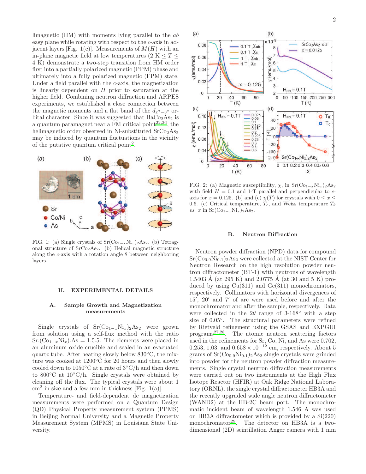limagnetic (HM) with moments lying parallel to the ab easy plane while rotating with respect to the c-axis in adjacent layers [Fig. 1(c)]. Measurements of  $M(H)$  with an in-plane magnetic field at low temperatures (2 K  $\leq T \leq$ 4 K) demonstrate a two-step transition from HM order first into a partially polarized magnetic (PPM) phase and ultimately into a fully polarized magnetic (FPM) state. Under a field parallel with the c-axis, the magnetization is linearly dependent on  $H$  prior to saturation at the higher field. Combining neutron diffraction and ARPES experiments, we established a close connection between the magnetic moments and a flat band of the  $d_{x^2-y^2}$  orbital character. Since it was suggested that  $BaCo<sub>2</sub>As<sub>2</sub>$  is a quantum paramagnet near a FM critical point $2^{2,26}$  $2^{2,26}$  $2^{2,26}$ , the helimagnetic order observed in Ni-substituted  $SrCo<sub>2</sub>As<sub>2</sub>$ may be induced by quantum fluctuations in the vicinity of the putative quantum critical point<sup>[2](#page-9-5)</sup>.



FIG. 1: (a) Single crystals of  $Sr(Co_{1-x}Ni_x)_2As_2$ . (b) Tetragonal structure of  $SrCo<sub>2</sub>As<sub>2</sub>$ . (b) Helical magnetic structure along the c-axis with a rotation angle  $\theta$  between neighboring layers.

#### II. EXPERIMENTAL DETAILS

#### A. Sample Growth and Magnetization measurements

Single crystals of  $Sr(Co_{1-x}Ni_x)_2As_2$  were grown from solution using a self-flux method with the ratio  $Sr:({\rm Co}_{1-x}{\rm Ni}_x):As = 1:5:5$ . The elements were placed in an aluminum oxide crucible and sealed in an evacuated quartz tube. After heating slowly below 830◦C, the mixture was cooked at 1200◦C for 20 hours and then slowly cooled down to 1050◦C at a rate of 3◦C/h and then down to 800 $\degree$ C at 10 $\degree$ C/h. Single crystals were obtained by cleaning off the flux. The typical crystals were about 1  $\text{cm}^2$  in size and a few mm in thickness [Fig. 1(a)].

Temperature- and field-dependent dc magnetization measurements were performed on a Quantum Design (QD) Physical Property measurement system (PPMS) in Beijing Normal University and a Magnetic Property Measurement System (MPMS) in Louisiana State University.



FIG. 2: (a) Magnetic susceptibility,  $\chi$ , in Sr(Co<sub>1−x</sub>Ni<sub>x</sub>)<sub>2</sub>As<sub>2</sub> with field  $H = 0.1$  and 1-T parallel and perpendicular to  $c$ axis for  $x = 0.125$ . (b) and (c)  $\chi(T)$  for crystals with  $0 \le x \le$ 0.6. (c) Critical temperature,  $T_c$ , and Weiss temperature  $T_{\theta}$ vs. x in  $Sr(Co_{1-x}Ni_x)_{2}As_2$ .

#### B. Neutron Diffraction

Neutron powder diffraction (NPD) data for compound  $Sr(Co_{0.9}Ni_{0.1})_2As_2$  were collected at the NIST Center for Neutron Research on the high resolution powder neutron diffractometer (BT-1) with neutrons of wavelength 1.5403 Å (at 295 K) and 2.0775 Å (at 30 and 5 K) produced by using  $Cu(311)$  and  $Ge(311)$  monochromators, respectively. Collimators with horizontal divergences of 15′ , 20′ and 7′ of arc were used before and after the monochromator and after the sample, respectively. Data were collected in the  $2\theta$  range of  $3\n-168°$  with a step size of 0.05◦ . The structural parameters were refined by Rietveld refinement using the GSAS and EXPGUI program[s](#page-10-20)27[,28](#page-10-21). The atomic neutron scattering factors used in the refinements for Sr, Co, Ni, and As were 0.702, 0.253, 1.03, and  $0.658 \times 10^{-12}$  cm, respectively. About 5 grams of  $Sr(Co<sub>0.9</sub>Ni<sub>0.1</sub>)<sub>2</sub>As<sub>2</sub> single crystals were grinded$ into powder for the neutron powder diffraction measurements. Single crystal neutron diffraction measurements were carried out on two instruments at the High Flux Isotope Reactor (HFIR) at Oak Ridge National Laboratory (ORNL), the single crystal diffractometer HB3A and the recently upgraded wide angle neutron diffractometer (WAND2) at the HB-2C beam port. The monochromatic incident beam of wavelength  $1.546$  Å was used on HB3A diffractometer which is provided by a Si(220) monochromator<sup>[29](#page-10-22)</sup>. The detector on HB3A is a twodimensional (2D) scintillation Anger camera with 1 mm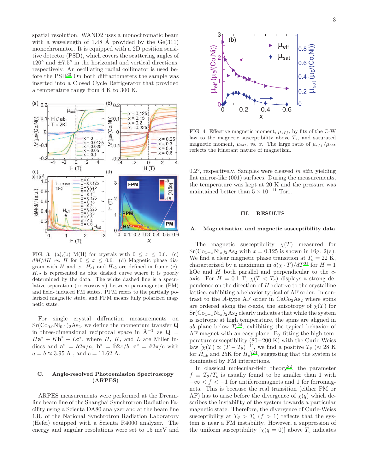spatial resolution. WAND2 uses a monochromatic beam with a wavelength of 1.48 Å provided by the  $Ge(311)$ monochromator. It is equipped with a 2D position sensitive detector (PSD), which covers the scattering angles of  $120^{\circ}$  and  $\pm 7.5^{\circ}$  in the horizontal and vertical directions, respectively. An oscillating radial collimator is used before the  $PSD^{30}$  $PSD^{30}$  $PSD^{30}$  On both diffractometers the sample was inserted into a Closed Cycle Refrigerator that provided a temperature range from 4 K to 300 K.



FIG. 3: (a),(b) M(H) for crystals with  $0 \leq x \leq 0.6$ . (c)  $dM/dH$  vs. H for  $0 \le x \le 0.6$ . (d) Magnetic phase diagram with H and x.  $H_{c1}$  and  $H_{c2}$  are defined in frame (c).  $H_{c2}$  is represented as blue dashed curve where it is poorly determined by the data. The white dashed line is a speculative separation (or crossover) between paramagnetic (PM) and field- induced FM states. PPM refers to the partially polarized magnetic state, and FPM means fully polarized magnetic state.

For single crystal diffraction measurements on  $Sr(Co_{0.9}Ni_{0.1})_2As_2$ , we define the momentum transfer Q in three-dimensional reciprocal space in  $\mathring{A}^{-1}$  as  $\mathbf{Q} =$  $H\mathbf{a}^* + K\mathbf{b}^* + L\mathbf{c}^*$ , where H, K, and L are Miller indices and  $\mathbf{a}^* = \hat{\mathbf{a}} 2\pi/a$ ,  $\mathbf{b}^* = \hat{\mathbf{b}} 2\pi/b$ ,  $\mathbf{c}^* = \hat{\mathbf{c}} 2\pi/c$  with  $a = b \approx 3.95 \text{ Å}$ , and  $c = 11.62 \text{ Å}$ .

#### C. Angle-resolved Photoemission Spectroscopy (ARPES)

ARPES measurements were performed at the Dreamline beam line of the Shanghai Synchrotron Radiation Facility using a Scienta DA80 analyzer and at the beam line 13U of the National Synchrotron Radiation Laboratory (Hefei) equipped with a Scienta R4000 analyzer. The energy and angular resolutions were set to 15 meV and



FIG. 4: Effective magnetic moment,  $\mu_{eff}$ , by fits of the C-W law to the magnetic susceptibility above  $T_c$ , and saturated magnetic moment,  $\mu_{sat}$ , vs. x. The large ratio of  $\mu_{eff}/\mu_{sat}$ reflects the itinerant nature of magnetism.

0.2°, respectively. Samples were cleaved in situ, yielding flat mirror-like (001) surfaces. During the measurements, the temperature was kept at 20 K and the pressure was maintained better than  $5 \times 10^{-11}$  Torr.

#### III. RESULTS

#### Magnetization and magnetic susceptibility data

The magnetic susceptibility  $\chi(T)$  measured for  $Sr(Co<sub>1-x</sub>Ni<sub>x</sub>)<sub>2</sub>As<sub>2</sub> with  $x = 0.125$  is shown in Fig. 2(a).$ We find a clear magnetic phase transition at  $T_c = 22$  K, characterized by a maximum in  $d(\chi \cdot T)/dT^{31}$  $d(\chi \cdot T)/dT^{31}$  $d(\chi \cdot T)/dT^{31}$  for  $H = 1$ kOe and  $H$  both parallel and perpendicular to the  $c$ axis. For  $H = 0.1$  T,  $\chi(T < T_c)$  displays a strong dependence on the direction of  $H$  relative to the crystalline lattice, exhibiting a behavior typical of AF order. In contrast to the A-type AF order in  $CaCo<sub>2</sub>As<sub>2</sub>$  where spins are ordered along the c-axis, the anisotropy of  $\chi(T)$  for  $Sr(Co_{1-x}Ni_x)_2As_2$  clearly indicates that while the system is isotropic at high temperature, the spins are aligned in ab plane below  $T_c^{24}$  $T_c^{24}$  $T_c^{24}$ , exhibiting the typical behavior of AF magnet with an easy plane. By fitting the high temperature susceptibility (80−200 K) with the Curie-Weiss law  $[\chi(T) \propto (T - T_{\theta})^{-1}]$ , we find a positive  $T_{\theta}$  ( $\approx 28$  K for  $H_{ab}$  and 25K for  $H_c$ <sup>[24](#page-10-17)</sup>, suggesting that the system is dominated by FM interactions.

In classical molecular-field theory<sup>[32](#page-10-25)</sup>, the parameter  $f \equiv T_{\theta}/T_c$  is usually found to be smaller than 1 with  $-\infty < f < -1$  for antiferromagnets and 1 for ferromagnets. This is because the real transition (either FM or AF) has to arise before the divergence of  $\chi(q)$  which describes the instability of the system towards a particular magnetic state. Therefore, the divergence of Curie-Weiss susceptibility at  $T_{\theta} > T_c$  ( $f > 1$ ) reflects that the system is near a FM instability. However, a suppression of the uniform susceptibility  $[\chi(q=0)]$  above  $T_c$  indicates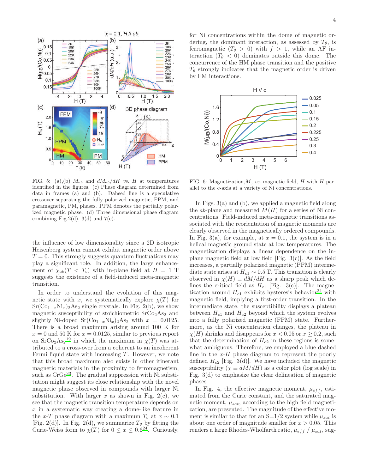

FIG. 5: (a),(b)  $M_{ab}$  and  $dM_{ab}/dH$  vs. H at temperatures identified in the figures. (c) Phase diagram determined from data in frames (a) and (b). Dahsed line is a speculative crossover separating the fully polarized magnetic, FPM, and paramagnetic, PM, phases. PPM denotes the partially polarized magnetic phase. (d) Three dimensional phase diagram combining Fig.2(d), 3(d) and  $7(c)$ .

the influence of low dimensionality since a 2D isotropic Heisenberg system cannot exhibit magnetic order above  $T = 0$ . This strongly suggests quantum fluctuations may play a significant role. In addition, the large enhancement of  $\chi_{ab}(T < T_c)$  with in-plane field at  $H = 1$  T suggests the existence of a field-induced meta-magnetic transition.

In order to understand the evolution of this magnetic state with x, we systematically explore  $\chi(T)$  for  $Sr(Co_{1-x}Ni_x)_2As_2$  single crystals. In Fig. 2(b), we show magnetic susceptibility of stoichiometric  $SrCo<sub>2</sub>As<sub>2</sub>$  and slightly Ni-doped Sr( $\text{Co}_{1-x}\text{Ni}_x$ )<sub>2</sub>As<sub>2</sub> with  $x = 0.0125$ . There is a broad maximum arising around 100 K for  $x = 0$  and 50 K for  $x = 0.0125$ , similar to previous report on  $\text{SrCo}_2\text{As}_2{}^{19}$  $\text{SrCo}_2\text{As}_2{}^{19}$  $\text{SrCo}_2\text{As}_2{}^{19}$  in which the maximum in  $\chi(T)$  was attributed to a cross-over from a coherent to an incoherent Fermi liquid state with increasing  $T$ . However, we note that this broad maximum also exists in other itinerant magnetic materials in the proximity to ferromagnetism, such as  $CrGe<sup>33</sup>$  $CrGe<sup>33</sup>$  $CrGe<sup>33</sup>$ . The gradual suppression with Ni substitution might suggest its close relationship with the novel magnetic phase observed in compounds with larger Ni substitution. With larger x as shown in Fig. 2(c), we see that the magnetic transition temperature depends on  $x$  in a systematic way creating a dome-like feature in the x-T phase diagram with a maximum  $T_c$  at  $x \sim 0.1$ [Fig. 2(d)]. In Fig. 2(d), we summarize  $T_{\theta}$  by fitting the Curie-Weiss form to  $\chi(T)$  for  $0 \le x \le 0.6^{24}$  $0 \le x \le 0.6^{24}$  $0 \le x \le 0.6^{24}$ . Curiously,

for Ni concentrations within the dome of magnetic ordering, the dominant interaction, as assessed by  $T_{\theta}$ , is ferromagnetic  $(T_{\theta} > 0)$  with  $f > 1$ , while an AF interaction  $(T_{\theta} < 0)$  dominates outside this dome. The concurrence of the HM phase transition and the positive  $T_{\theta}$  strongly indicates that the magnetic order is driven by FM interactions.



FIG. 6: Magnetization,  $M$ , vs. magnetic field,  $H$  with  $H$  parallel to the c-axis at a variety of Ni concentrations.

In Figs. 3(a) and (b), we applied a magnetic field along the *ab*-plane and measured  $M(H)$  for a series of Ni concentrations. Field-induced meta-magnetic transitions associated with the reorientation of magnetic moments are clearly observed in the magnetically ordered compounds. In Fig. 3(a), for example, at  $x = 0.1$ , the system is in a helical magnetic ground state at low temperatures. The magnetization displays a linear dependence on the inplane magnetic field at low field  $[Fig. 3(c)]$ . As the field increases, a partially polarized magnetic (PPM) intermediate state arises at  $H_{c1} \sim 0.5$  T. This transition is clearly observed in  $\chi(H) \equiv dM/dH$  as a sharp peak which defines the critical field as  $H_{c1}$  [Fig. 3(c)]. The magnetization around  $H_{c1}$  exhibits hysteresis behavior<sup>[24](#page-10-17)</sup> with magnetic field, implying a first-order transition. In the intermediate state, the susceptibility displays a plateau between  $H_{c1}$  and  $H_{c2}$  beyond which the system evolves into a fully polarized magnetic (FPM) state. Furthermore, as the Ni concentration changes, the plateau in  $\chi(H)$  shrinks and disappears for  $x < 0.05$  or  $x \ge 0.2$ , such that the determination of  $H_{c2}$  in these regions is somewhat ambiguous. Therefore, we employed a blue dashed line in the  $x$ -H phase diagram to represent the poorly defined  $H_{c2}$  [Fig. 3(d)]. We have included the magnetic susceptibility ( $\chi \equiv dM/dH$ ) as a color plot (log scale) in Fig. 3(d) to emphasize the clear delineation of magnetic phases.

In Fig. 4, the effective magnetic moment,  $\mu_{eff}$ , estimated from the Curie constant, and the saturated magnetic moment,  $\mu_{sat}$ , according to the high field magnetization, are presented. The magnitude of the effective moment is similar to that for an  $S=1/2$  system while  $\mu_{sat}$  is about one order of magnitude smaller for  $x > 0.05$ . This renders a large Rhodes-Wholfarth ratio,  $\mu_{eff}$  /  $\mu_{sat}$ , sug-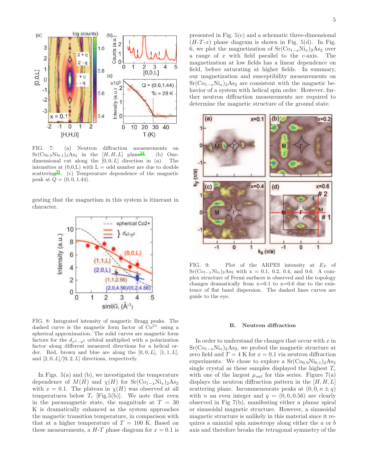

FIG. 7: (a) Neutron diffraction measurements on  $Sr(Co_{0.9}Ni_{0.1})_2As_2$  in the  $[H, H, L]$  plane<sup>24</sup>. (b) One- $Sr(\text{Co}_{0.9}\text{Ni}_{0.1})_2\text{As}_2$  in the  $[H, H, L]$  plane<sup>[24](#page-10-17)</sup>. (b) Onedimensional cut along the  $[0, 0, L]$  direction in (a). The intensities at  $(0,0,L)$  with  $L =$  odd number are due to double scatterin[g](#page-10-27)<sup>34</sup>. (c) Temperature dependence of the magnetic peak at  $Q = (0, 0, 1.44)$ .

gesting that the magnetism in this system is itinerant in character.



FIG. 8: Integrated intensity of magnetic Bragg peaks. The dashed curve is the magnetic form factor of  $Co<sup>2+</sup>$  using a spherical approximation. The solid curves are magnetic form factors for the  $d_{x^2-y^2}$  orbital multiplied with a polarization factor along different measured directions for a helical order. Red, brown and blue are along the  $[0, 0, L]$ ,  $[1, 1, L]$ , and  $[2, 0, L]/[0, 2, L]$  directions, respectively.

In Figs. 5(a) and (b), we investigated the temperature dependence of  $M(H)$  and  $\chi(H)$  for  $Sr(\mathrm{Co}_{1-x}\mathrm{Ni}_x)_2\mathrm{As}_2$ with  $x = 0.1$ . The plateau in  $\chi(H)$  was observed at all temperatures below  $T_c$  [Fig.5(b)]. We note that even in the paramagnetic state, the magnitude at  $T = 30$ K is dramatically enhanced as the system approaches the magnetic transition temperature, in comparison with that at a higher temperature of  $T = 100$  K. Based on these measurements, a  $H$ -T phase diagram for  $x = 0.1$  is

presented in Fig. 5(c) and a schematic three-dimensional  $(H-T-x)$  phase diagram is shown in Fig. 5(d). In Fig. 6, we plot the magnetization of  $Sr(Co_{1-x}Ni_x)_2As_2$  over a range of  $x$  with field parallel to the  $c$ -axis. The magnetization at low fields has a linear dependence on field, before saturating at higher fields. In summary, our magnetization and susceptibility measurements on  $Sr(Co_{1-x}Ni_x)_{2}As_2$  are consistent with the magnetic behavior of a system with helical spin order. However, further neutron diffraction measurements are required to determine the magnetic structure of the ground state.



FIG. 9: Plot of the ARPES intensity at  $E_F$  of  $Sr(Co<sub>1-x</sub>Ni<sub>x</sub>)<sub>2</sub>As<sub>2</sub> with x = 0.1, 0.2, 0.4, and 0.6. A com$ plex structure of Fermi surfaces is observed and the topology changes dramatically from  $x=0.1$  to  $x=0.6$  due to the existence of flat band dispersion. The dashed lines curves are guide to the eye.

#### B. Neutron diffraction

In order to understand the changes that occur with  $x$  in  $Sr(Co<sub>1-x</sub>Ni<sub>x</sub>)<sub>2</sub>As<sub>2</sub>$ , we probed the magnetic structure at zero field and  $T = 4$  K for  $x = 0.1$  via neutron diffraction experiments. We chose to explore a  $Sr(Co<sub>0.9</sub>Ni<sub>0.1</sub>)<sub>2</sub>As<sub>2</sub>$ single crystal as these samples displayed the highest  $T_c$ with one of the largest  $\mu_{sat}$  for this series. Figure 7(a) displays the neutron diffraction pattern in the  $[H, H, L]$ scattering plane. Incommensurate peaks at  $(0, 0, n \pm q)$ with *n* an even integer and  $q = (0, 0, 0.56)$  are clearly observed in Fig 7(b), manifesting either a planar spiral or sinusoidal magnetic structure. However, a sinusoidal magnetic structure is unlikely in this material since it requires a uniaxial spin anisotropy along either the a or b axis and therefore breaks the tetragonal symmetry of the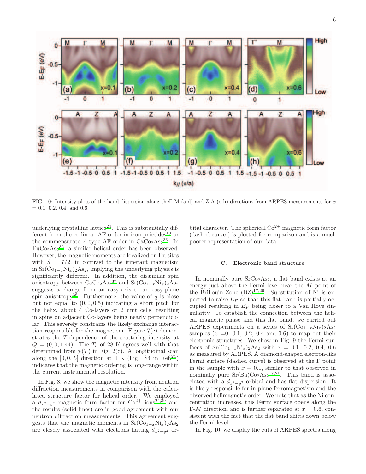

FIG. 10: Intensity plots of the band dispersion along theΓ-M (a-d) and Z-A (e-h) directions from ARPES measurements for x  $= 0.1, 0.2, 0.4, \text{ and } 0.6.$ 

underlying crystalline lattice $24$ . This is substantially different from the collinear  $AF$  order in iron pnictides<sup>[13](#page-10-6)</sup> or the commensurate A-type AF order in  $CaCo<sub>2</sub>As<sub>2</sub><sup>35</sup>$  $CaCo<sub>2</sub>As<sub>2</sub><sup>35</sup>$  $CaCo<sub>2</sub>As<sub>2</sub><sup>35</sup>$ . In  $EuCo<sub>2</sub>As<sub>2</sub><sup>36</sup>$  $EuCo<sub>2</sub>As<sub>2</sub><sup>36</sup>$  $EuCo<sub>2</sub>As<sub>2</sub><sup>36</sup>$ , a similar helical order has been observed. However, the magnetic moments are localized on Eu sites with  $S = 7/2$ , in contrast to the itinerant magnetism in  $Sr(Co_{1-x}Ni_x)_2As_2$ , implying the underlying physics is significantly different. In addition, the dissimilar spin anisotropy between  $CaCo<sub>2</sub>As<sub>2</sub><sup>37</sup>$  $CaCo<sub>2</sub>As<sub>2</sub><sup>37</sup>$  $CaCo<sub>2</sub>As<sub>2</sub><sup>37</sup>$  and  $Sr(Co<sub>1-x</sub>Ni<sub>x</sub>)<sub>2</sub>As<sub>2</sub>$ suggests a change from an easy-axis to an easy-plane spin anisotropy<sup>[38](#page-10-31)</sup>. Furthermore, the value of q is close but not equal to  $(0, 0, 0.5)$  indicating a short pitch for the helix, about 4 Co-layers or 2 unit cells, resulting in spins on adjacent Co-layers being nearly perpendicular. This severely constrains the likely exchange interaction responsible for the magnetism. Figure 7(c) demonstrates the T -dependence of the scattering intensity at  $Q = (0, 0, 1.44)$ . The  $T_c$  of 28 K agrees well with that determined from  $\chi(T)$  in Fig. 2(c). A longitudinal scan along the  $[0, 0, L]$  direction at 4 K (Fig. S4 in Ref.<sup>[24](#page-10-17)</sup>) indicates that the magnetic ordering is long-range within the current instrumental resolution.

In Fig. 8, we show the magnetic intensity from neutron diffraction measurements in comparison with the calculated structure factor for helical order. We employed a  $d_{x^2-y^2}$  magnetic form factor for Co<sup>2+</sup> ions<sup>[24](#page-10-17)[,39](#page-10-32)</sup> and the results (solid lines) are in good agreement with our neutron diffraction measurements. This agreement suggests that the magnetic moments in  $Sr(Co_{1-x}Ni_x)_2As_2$ are closely associated with electrons having  $d_{x^2-y^2}$  orbital character. The spherical  $\text{Co}^{2+}$  magnetic form factor (dashed curve ) is plotted for comparison and is a much poorer representation of our data.

#### C. Electronic band structure

In nominally pure  $SrCo<sub>2</sub>As<sub>2</sub>$ , a flat band exists at an energy just above the Fermi level near the M point of the Brillouin Zone  $(BZ)^{17,20}$  $(BZ)^{17,20}$  $(BZ)^{17,20}$  $(BZ)^{17,20}$ . Substitution of Ni is expected to raise  $E_F$  so that this flat band is partially occupied resulting in  $E_F$  being closer to a Van Hove singularity. To establish the connection between the helical magnetic phase and this flat band, we carried out ARPES experiments on a series of  $Sr(C_{01-x}Ni_x)_{2}As_{2}$ samples  $(x = 0, 0.1, 0.2, 0.4, 0.6)$  to map out their electronic structures. We show in Fig. 9 the Fermi surfaces of  $Sr(Co_{1-x}Ni_x)_{2}As_2$  with  $x = 0.1, 0.2, 0.4, 0.6$ as measured by ARPES. A diamond-shaped electron-like Fermi surface (dashed curve) is observed at the  $\Gamma$  point in the sample with  $x = 0.1$ , similar to that observed in nominally pure  $Sr(Ba)Co<sub>2</sub>As<sub>2</sub><sup>17,21</sup>$  $Sr(Ba)Co<sub>2</sub>As<sub>2</sub><sup>17,21</sup>$  $Sr(Ba)Co<sub>2</sub>As<sub>2</sub><sup>17,21</sup>$  $Sr(Ba)Co<sub>2</sub>As<sub>2</sub><sup>17,21</sup>$ . This band is associated with a  $d_{x^2-y^2}$  orbital and has flat dispersion. It is likely responsible for in-plane ferromagnetism and the observed helimagnetic order. We note that as the Ni concentration increases, this Fermi surface opens along the  $\Gamma$ -*M* direction, and is further separated at  $x = 0.6$ , consistent with the fact that the flat band shifts down below the Fermi level.

In Fig. 10, we display the cuts of ARPES spectra along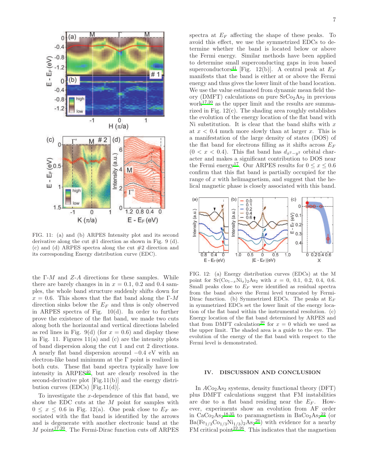

FIG. 11: (a) and (b) ARPES Intensity plot and its second derivative along the cut  $#1$  direction as shown in Fig. 9 (d). (c) and (d) ARPES spectra along the cut  $#2$  direction and its corresponding Energy distribution curve (EDC).

the  $\Gamma$ -*M* and *Z*-*A* directions for these samples. While there are barely changes in in  $x = 0.1$ , 0.2 and 0.4 samples, the whole band structure suddenly shifts down for  $x = 0.6$ . This shows that the flat band along the Γ-M direction sinks below the  $E_F$  and thus is only observed in ARPES spectra of Fig. 10(d). In order to further prove the existence of the flat band, we made two cuts along both the horizontal and vertical directions labeled as red lines in Fig. 9(d) (for  $x = 0.6$ ) and display these in Fig. 11. Figures  $11(a)$  and (c) are the intensity plots of band dispersion along the cut 1 and cut 2 directions. A nearly flat band dispersion around −0.4 eV with an electron-like band minimum at the Γ point is realized in both cuts. These flat band spectra typically have low intensity in  $ARPES<sup>40</sup>$  $ARPES<sup>40</sup>$  $ARPES<sup>40</sup>$ , but are clearly resolved in the second-derivative plot [Fig.11(b)] and the energy distribution curves (EDCs) [Fig.11(d)].

To investigate the x-dependence of this flat band, we show the EDC cuts at the M point for samples with  $0 \leq x \leq 0.6$  in Fig. 12(a). One peak close to  $E_F$  associated with the flat band is identified by the arrows and is degenerate with another electronic band at the  $M$  point<sup>[17](#page-10-10)[,20](#page-10-13)</sup>. The Fermi-Dirac function cuts off ARPES

spectra at  $E_F$  affecting the shape of these peaks. To avoid this effect, we use the symmetrized EDCs to determine whether the band is located below or above the Fermi energy. Similar methods have been applied to determine small superconducting gaps in iron based superconductors<sup>[41](#page-10-34)</sup> [Fig. 12(b)]. A central peak at  $E_F$ manifests that the band is either at or above the Fermi energy and thus gives the lower limit of the band location. We use the value estimated from dynamic mean field theory (DMFT) calculations on pure  $SrCo<sub>2</sub>As<sub>2</sub>$  in previous work $17,20$  $17,20$  as the upper limit and the results are summarized in Fig. 12(c). The shading area roughly establishes the evolution of the energy location of the flat band with Ni substitution. It is clear that the band shifts with  $x$ at  $x < 0.4$  much more slowly than at larger x. This is a manifestation of the large density of states (DOS) of the flat band for electrons filling as it shifts across  $E_F$  $(0 < x < 0.4)$ . This flat band has  $d_{x^2-y^2}$  orbital character and makes a significant contribution to DOS near the Fermi energy<sup>[17](#page-10-10)</sup>. Our ARPES results for  $0 \le x \le 0.6$ confirm that this flat band is partially occupied for the range of  $x$  with helimagnetism, and suggest that the helical magnetic phase is closely associated with this band.



FIG. 12: (a) Energy distribution curves (EDCs) at the M point for  $Sr(Co_{1-x}Ni_x)_2As_2$  with  $x = 0, 0.1, 0.2, 0.4, 0.6$ . Small peaks close to  $E_F$  were identified as residual spectra from the band above the Fermi level truncated by Fermi-Dirac function. (b) Symmetrized EDCs. The peaks at  $E_F$ in symmetrized EDCs set the lower limit of the energy location of the flat band within the instrumental resolution. (c) Energy location of the flat band determined by ARPES and that from DMFT calculatio[n](#page-10-13)<sup>20</sup> for  $x = 0$  which we used as the upper limit. The shaded area is a guide to the eye. The evolution of the energy of the flat band with respect to the Fermi level is demonstrated.

#### IV. DISCUSSION AND CONCLUSION

In  $ACo<sub>2</sub>As<sub>2</sub>$  systems, density functional theory (DFT) plus DMFT calculations suggest that FM instabilities are due to a flat band residing near the  $E_F$ . However, experiments show an evolution from AF order in  $CaCo<sub>2</sub>As<sub>2</sub><sup>18,35</sup>$  $CaCo<sub>2</sub>As<sub>2</sub><sup>18,35</sup>$  $CaCo<sub>2</sub>As<sub>2</sub><sup>18,35</sup>$  $CaCo<sub>2</sub>As<sub>2</sub><sup>18,35</sup>$  to paramagnetism in  $BaCo<sub>2</sub>As<sub>2</sub><sup>22</sup>$  $BaCo<sub>2</sub>As<sub>2</sub><sup>22</sup>$  $BaCo<sub>2</sub>As<sub>2</sub><sup>22</sup>$  (or  $Ba(Fe_{1/3}Co_{1/3}Ni_{1/3})_2As_2^{26})$  $Ba(Fe_{1/3}Co_{1/3}Ni_{1/3})_2As_2^{26})$  $Ba(Fe_{1/3}Co_{1/3}Ni_{1/3})_2As_2^{26})$  with evidence for a nearby FM critical point<sup>[22](#page-10-15)[,26](#page-10-19)</sup>. This indicates that the magnetism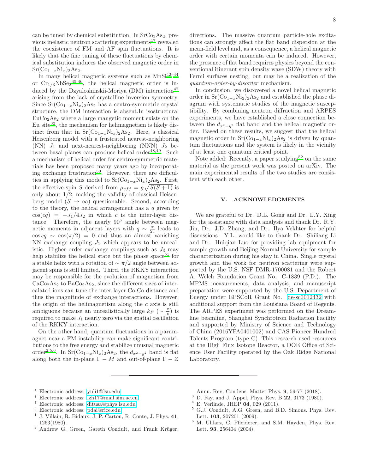can be tuned by chemical substitution. In  $SrCo<sub>2</sub>As<sub>2</sub>$ , previous inelastic neutron scattering experiments $17$  revealed the coexistence of FM and AF spin fluctuations. It is likely that the fine tuning of these fluctuations by chemical substitution induces the observed magnetic order in  $Sr(Co_{1-x}Ni_{x})_{2}As_{2}.$ 

In many helical magnetic systems such as  $MnSi<sup>42–44</sup>$  $MnSi<sup>42–44</sup>$  $MnSi<sup>42–44</sup>$  $MnSi<sup>42–44</sup>$ or  $Cr_{1/3}NbSe_2^{45,46}$  $Cr_{1/3}NbSe_2^{45,46}$  $Cr_{1/3}NbSe_2^{45,46}$  $Cr_{1/3}NbSe_2^{45,46}$ , the helical magnetic order is induced by the Dzyaloshinskii-Moriya  $(DM)$  interaction<sup>[47](#page-10-39)</sup> arising from the lack of crystalline inversion symmetry. Since  $Sr(Co_{1-x}Ni_x)_{2}As_2$  has a centro-symmetric crystal structure, the DM interaction is absent.In isostructural  $EuCo<sub>2</sub>As<sub>2</sub>$  where a large mangetic moment exists on the Eu sit[e](#page-10-25) $3^2$ , the mechanism for helimagnetism is likely distinct from that in  $Sr(Co_{1-x}Ni_x)_2As_2$ . Here, a classical Heisenberg model with a frustrated nearest-neighboring (NN)  $J_1$  and next-nearest-neighboring (NNN)  $J_2$  be-tween basal planes can produce helical order<sup>[48](#page-10-40)[,49](#page-10-41)</sup>. Such a mechanism of helical order for centro-symmetric materials has been proposed many years ago by incorporating exchange frustration $50$ . However, there are difficulties in applying this model to  $Sr(Co_{1-x}Ni_x)_2As_2$ . First, the effective spin S derived from  $\mu_{eff} = g\sqrt{S(S+1)}$  is only about 1/2, making the validity of classical Heisenberg model  $(S \to \infty)$  questionable. Second, according to the theory, the helical arrangement has a  $q$  given by  $cos(cq) = -J_1/4J_2$  in which c is the inter-layer distance. Therefore, the nearly 90◦ angle between magnetic moments in adjacent layers with  $q \sim \frac{\pi}{2c}$  leads to  $\cos c\theta \sim \cos(\pi/2) = 0$  and thus an almost vanishing NN exchange coupling  $J_1$  which appears to be unrealistic. Higher order exchange couplings such as  $J_3$  may h[e](#page-10-43)lp stabilize the helical state but the phase space<sup>51</sup> for a stable helix with a rotation of  $\sim \pi/2$  angle between adjacent spins is still limited. Third, the RKKY interaction may be responsible for the evolution of magnetism from  $CaCo<sub>2</sub>As<sub>2</sub>$  to  $BaCo<sub>2</sub>As<sub>2</sub>$ , since the different sizes of intercalated ions can tune the inter-layer Co-Co distance and thus the magnitude of exchange interactions. However, the origin of the helimagnetism along the c axis is still ambiguous because an unrealistically large  $k_F$  ( $\sim \frac{\pi}{c}$ ) is required to make  $J_1$  nearly zero via the spatial oscillation of the RKKY interaction.

On the other hand, quantum fluctuations in a paramagnet near a FM instability can make significant contributions to the free energy and stabilize unusual magnetic order<sup>[2](#page-9-5)[,5](#page-9-8)[,6](#page-9-9)</sup>. In Sr(Co<sub>1−x</sub>Ni<sub>x</sub>)<sub>2</sub>As<sub>2</sub>, the  $d_{x^2-y^2}$  band is flat along both the in-plane  $\Gamma - M$  and out-of-plane  $\Gamma - Z$  directions. The massive quantum particle-hole excitations can strongly affect the flat band dispersion at the mean-field level and, as a consequence, a helical magnetic order with certain momenta can be induced. However, the presence of flat band requires physics beyond the conventional itinerant spin density wave (SDW) theory with Fermi surfaces nesting, but may be a realization of the quantum-order-by-disorder mechanism.

In conclusion, we discovered a novel helical magnetic order in  $Sr(Co_{1-x}Ni_2)_2As_2$  and established the phase diagram with systematic studies of the magnetic susceptibility. By combining neutron diffraction and ARPES experiments, we have established a close connection between the  $d_{x^2-y^2}$  flat band and the helical magnetic order. Based on these results, we suggest that the helical magnetic order in  $Sr(Co_{1-x}Ni_x)_2As_2$  is driven by quantum fluctuations and the system is likely in the vicinity of at least one quantum critical point.

Note added: Recently, a paper studying<sup>[52](#page-10-44)</sup> on the same material as the present work was posted on arXiv. The main experimental results of the two studies are consistent with each other.

#### V. ACKNOWLEDGMENTS

We are grateful to Dr. D.L. Gong and Dr. L.Y. Xing for the assistance with data analysis and thank Dr. R.Y. Jin, Dr. J.D. Zhang, and Dr. Ilya Vekhter for helpful discussions. Y.L. would like to thank Dr. Shiliang Li and Dr. Huiqian Luo for providing lab equipment for sample growth and Beijing Normal University for sample characterization during his stay in China. Single crystal growth and the work for neutron scattering were supported by the U.S. NSF DMR-1700081 and the Robert A. Welch Foundation Grant No. C-1839 (P.D.). The MPMS measurements, data analysis, and manuscript preparation were supported by the U.S. Department of Energy under EPSCoR Grant No. [de-sc0012432](http://arxiv.org/abs/de-sc/0012432) with additional support from the Louisiana Board of Regents. The ARPES experiment was performed on the Dreamline beamline, Shanghai Synchrotron Radiation Facility and supported by Ministry of Science and Technology of China (2016YFA0401002) and CAS Pioneer Hundred Talents Program (type C). This research used resources at the High Flux Isotope Reactor, a DOE Office of Science User Facility operated by the Oak Ridge National Laboratory.

- <span id="page-9-0"></span>† Electronic address: [lzh17@mail.sim.ac.cn](mailto:lzh17@mail.sim.ac.cn)
- <span id="page-9-1"></span>‡ Electronic address: [ditusa@phys.lsu.edu](mailto:ditusa@phys.lsu.edu)
- <span id="page-9-2"></span><sup>§</sup> Electronic address: [pdai@rice.edu](mailto:pdai@rice.edu)
- <span id="page-9-4"></span><span id="page-9-3"></span>J. Villain, R. Bidaux, J. P. Carton, R. Conte, J. Phys. 41, 1263(1980).
- <span id="page-9-5"></span> $2$  Andrew G. Green, Gareth Conduit, and Frank Krüger,
- Annu. Rev. Condens. Matter Phys. 9, 59-77 (2018).
- <span id="page-9-6"></span><sup>3</sup> D. Fay, and J. Appel, Phys. Rev. B 22, 3173 (1980).
- <span id="page-9-7"></span> $4$  E. Verlinde, JHEP 04, 029 (2011).
- <span id="page-9-8"></span><sup>5</sup> G.J. Conduit, A.G. Green, and B.D. Simons. Phys. Rev. Lett. 103, 207201 (2009).
- <span id="page-9-9"></span><sup>6</sup> M. Uhlarz, C. Pfleiderer, and S.M. Hayden, Phys. Rev. Lett. 93, 256404 (2004).

<sup>∗</sup> Electronic address: [yuli1@lsu.edu](mailto:yuli1@lsu.edu)